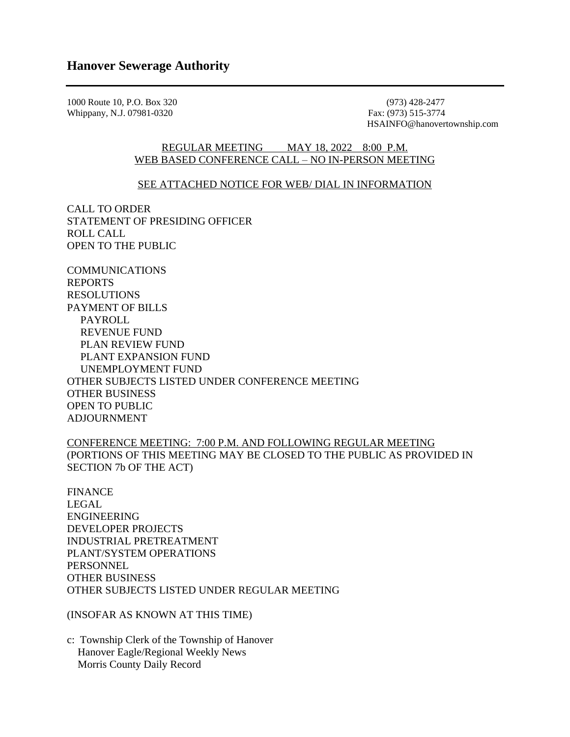1000 Route 10, P.O. Box 320 (973) 428-2477 (973) 428-2477 (973) 428-2477 (973) 428-2477 Whippany, N.J. 07981-0320

HSAINFO@hanovertownship.com

## REGULAR MEETING MAY 18, 2022 8:00 P.M. WEB BASED CONFERENCE CALL – NO IN-PERSON MEETING

## SEE ATTACHED NOTICE FOR WEB/ DIAL IN INFORMATION

CALL TO ORDER STATEMENT OF PRESIDING OFFICER ROLL CALL OPEN TO THE PUBLIC

COMMUNICATIONS REPORTS RESOLUTIONS PAYMENT OF BILLS PAYROLL REVENUE FUND PLAN REVIEW FUND PLANT EXPANSION FUND UNEMPLOYMENT FUND OTHER SUBJECTS LISTED UNDER CONFERENCE MEETING OTHER BUSINESS OPEN TO PUBLIC ADJOURNMENT

CONFERENCE MEETING: 7:00 P.M. AND FOLLOWING REGULAR MEETING (PORTIONS OF THIS MEETING MAY BE CLOSED TO THE PUBLIC AS PROVIDED IN SECTION 7b OF THE ACT)

FINANCE LEGAL ENGINEERING DEVELOPER PROJECTS INDUSTRIAL PRETREATMENT PLANT/SYSTEM OPERATIONS **PERSONNEL** OTHER BUSINESS OTHER SUBJECTS LISTED UNDER REGULAR MEETING

(INSOFAR AS KNOWN AT THIS TIME)

c: Township Clerk of the Township of Hanover Hanover Eagle/Regional Weekly News Morris County Daily Record